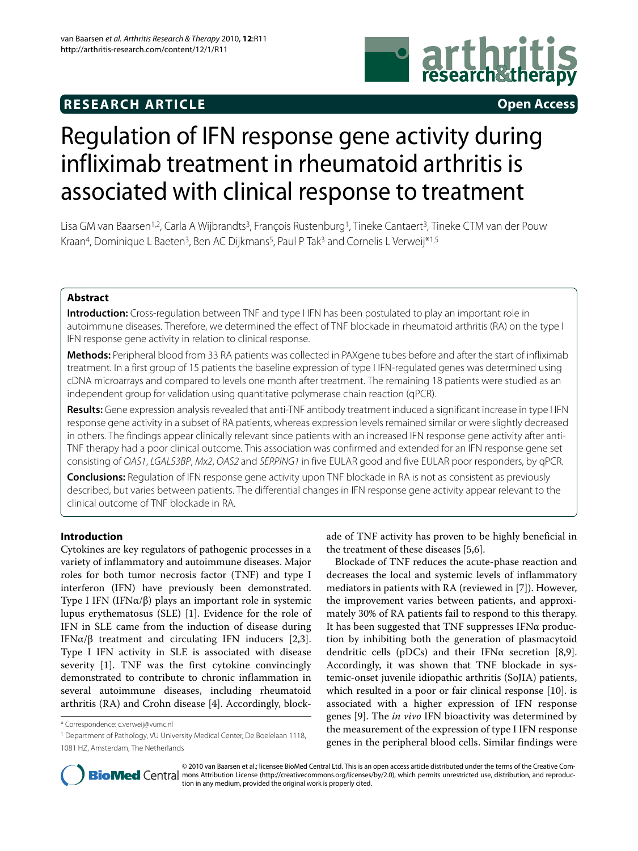# **RESEARCH ARTICLE Open Access**



# Regulation of IFN response gene activity during [infliximab treatment in rheumatoid arthritis is](http://www.ncbi.nlm.nih.gov/entrez/query.fcgi?cmd=Retrieve&db=PubMed&dopt=Abstract&list_uids=20096109)  associated with clinical response to treatment

Lisa GM van Baarsen<sup>1,2</sup>, Carla A Wijbrandts<sup>3</sup>, Francois Rustenburg<sup>1</sup>, Tineke Cantaert<sup>3</sup>, Tineke CTM van der Pouw Kraan<sup>4</sup>, Dominique L Baeten<sup>3</sup>, Ben AC Dijkmans<sup>5</sup>, Paul P Tak<sup>3</sup> and Cornelis L Verweij\*<sup>1,5</sup>

# **Abstract**

**Introduction:** Cross-regulation between TNF and type I IFN has been postulated to play an important role in autoimmune diseases. Therefore, we determined the effect of TNF blockade in rheumatoid arthritis (RA) on the type I IFN response gene activity in relation to clinical response.

**Methods:** Peripheral blood from 33 RA patients was collected in PAXgene tubes before and after the start of infliximab treatment. In a first group of 15 patients the baseline expression of type I IFN-regulated genes was determined using cDNA microarrays and compared to levels one month after treatment. The remaining 18 patients were studied as an independent group for validation using quantitative polymerase chain reaction (qPCR).

**Results:** Gene expression analysis revealed that anti-TNF antibody treatment induced a significant increase in type I IFN [response gene activity in a subset of RA patients, whereas expression levels remained similar or were slightly decreased](http://www.ncbi.nlm.nih.gov/entrez/query.fcgi?cmd=Retrieve&db=PubMed&dopt=Abstract&list_uids=20096109)  in others. The findings appear clinically relevant since patients with an increased IFN response gene activity after anti-TNF therapy had a poor clinical outcome. This association was confirmed and extended for an IFN response gene set consisting of OAS1, LGALS3BP, Mx2, OAS2 and SERPING1 in five EULAR good and five EULAR poor responders, by qPCR.

**Conclusions:** Regulation of IFN response gene activity upon TNF blockade in RA is not as consistent as previously described, but varies between patients. The differential changes in IFN response gene activity appear relevant to the clinical outcome of TNF blockade in RA.

# **Introduction**

Cytokines are key regulators of pathogenic processes in a variety of inflammatory and autoimmune diseases. Major roles for both tumor necrosis factor (TNF) and type I interferon (IFN) have previously been demonstrated. Type I IFN (IFNα/β) plays an important role in systemic lupus erythematosus (SLE) [\[1\]](#page-8-0). Evidence for the role of IFN in SLE came from the induction of disease during IFNα/β treatment and circulating IFN inducers [[2,](#page-8-1)[3](#page-8-2)]. Type I IFN activity in SLE is associated with disease severity [[1\]](#page-8-0). TNF was the first cytokine convincingly [demonstrated to contribute to chronic inflammation in](http://www.ncbi.nlm.nih.gov/entrez/query.fcgi?cmd=Retrieve&db=PubMed&dopt=Abstract&list_uids=20096109) several autoimmune diseases, including rheumatoid arthritis (RA) and Crohn disease [[4\]](#page-8-3). Accordingly, blockade of TNF activity has proven to be highly beneficial in the treatment of these diseases [\[5](#page-8-4),[6\]](#page-8-5).

Blockade of TNF reduces the acute-phase reaction and decreases the local and systemic levels of inflammatory mediators in patients with RA (reviewed in [\[7](#page-8-6)]). However, the improvement varies between patients, and approximately 30% of RA patients fail to respond to this therapy. It has been suggested that TNF suppresses IFNα production by inhibiting both the generation of plasmacytoid [dendritic cells \(pDCs\) and their IFNα secretion \[8,9\].](http://www.ncbi.nlm.nih.gov/entrez/query.fcgi?cmd=Retrieve&db=PubMed&dopt=Abstract&list_uids=20096109) Accordingly, it was shown that TNF blockade in systemic-onset juvenile idiopathic arthritis (SoJIA) patients, which resulted in a poor or fair clinical response [[10\]](#page-8-9). is associated with a higher expression of IFN response genes [[9\]](#page-8-8). The *in vivo* IFN bioactivity was determined by the measurement of the expression of type I IFN response genes in the peripheral blood cells. Similar findings were



© 2010 van Baarsen et al.; licensee BioMed Central Ltd. This is an open access article distributed under the terms of the Creative Com-**Bio Med** Central mons Attribution License (http://creativecommons.org/licenses/by/2.0), which permits unrestricted use, distribution, and reproduction in any medium, provided the original work is properly cited.

<sup>\*</sup> Correspondence: c.verweij@vumc.nl

<sup>1</sup> Department of Pathology, VU University Medical Center, De Boelelaan 1118, 1081 HZ, Amsterdam, The Netherlands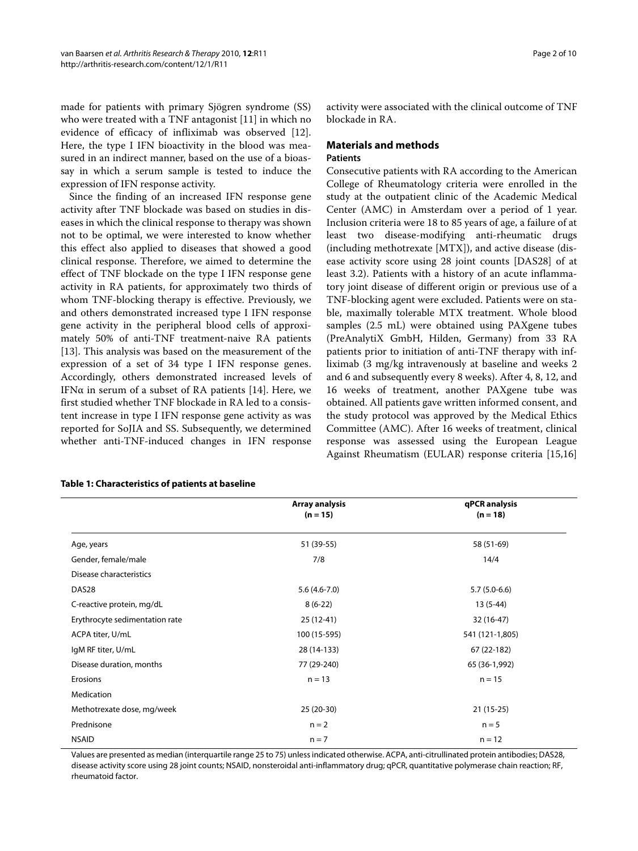made for patients with primary Sjögren syndrome (SS) who were treated with a TNF antagonist [[11\]](#page-8-10) in which no evidence of efficacy of infliximab was observed [\[12](#page-8-11)]. Here, the type I IFN bioactivity in the blood was measured in an indirect manner, based on the use of a bioassay in which a serum sample is tested to induce the expression of IFN response activity.

Since the finding of an increased IFN response gene activity after TNF blockade was based on studies in diseases in which the clinical response to therapy was shown not to be optimal, we were interested to know whether this effect also applied to diseases that showed a good clinical response. Therefore, we aimed to determine the effect of TNF blockade on the type I IFN response gene activity in RA patients, for approximately two thirds of whom TNF-blocking therapy is effective. Previously, we and others demonstrated increased type I IFN response gene activity in the peripheral blood cells of approximately 50% of anti-TNF treatment-naive RA patients [[13\]](#page-8-12). This analysis was based on the measurement of the expression of a set of 34 type I IFN response genes. Accordingly, others demonstrated increased levels of IFN $\alpha$  in serum of a subset of RA patients [\[14](#page-8-13)]. Here, we first studied whether TNF blockade in RA led to a consistent increase in type I IFN response gene activity as was reported for SoJIA and SS. Subsequently, we determined whether anti-TNF-induced changes in IFN response

activity were associated with the clinical outcome of TNF blockade in RA.

# **Materials and methods**

# **Patients**

Consecutive patients with RA according to the American College of Rheumatology criteria were enrolled in the study at the outpatient clinic of the Academic Medical Center (AMC) in Amsterdam over a period of 1 year. Inclusion criteria were 18 to 85 years of age, a failure of at least two disease-modifying anti-rheumatic drugs (including methotrexate [MTX]), and active disease (disease activity score using 28 joint counts [DAS28] of at least 3.2). Patients with a history of an acute inflammatory joint disease of different origin or previous use of a TNF-blocking agent were excluded. Patients were on stable, maximally tolerable MTX treatment. Whole blood samples (2.5 mL) were obtained using PAXgene tubes (PreAnalytiX GmbH, Hilden, Germany) from 33 RA patients prior to initiation of anti-TNF therapy with infliximab (3 mg/kg intravenously at baseline and weeks 2 and 6 and subsequently every 8 weeks). After 4, 8, 12, and 16 weeks of treatment, another PAXgene tube was obtained. All patients gave written informed consent, and the study protocol was approved by the Medical Ethics Committee (AMC). After 16 weeks of treatment, clinical response was assessed using the European League Against Rheumatism (EULAR) response criteria [\[15](#page-8-14),[16](#page-8-15)]

|                                | Array analysis<br>$(n = 15)$ | qPCR analysis<br>$(n = 18)$ |
|--------------------------------|------------------------------|-----------------------------|
| Age, years                     | 51 (39-55)                   | 58 (51-69)                  |
| Gender, female/male            | 7/8                          | 14/4                        |
| Disease characteristics        |                              |                             |
| DAS28                          | $5.6(4.6-7.0)$               | $5.7(5.0-6.6)$              |
| C-reactive protein, mg/dL      | $8(6-22)$                    | $13(5-44)$                  |
| Erythrocyte sedimentation rate | $25(12-41)$                  | 32 (16-47)                  |
| ACPA titer, U/mL               | 100 (15-595)                 | 541 (121-1,805)             |
| IgM RF titer, U/mL             | 28 (14-133)                  | 67 (22-182)                 |
| Disease duration, months       | 77 (29-240)                  | 65 (36-1,992)               |
| Erosions                       | $n = 13$                     | $n = 15$                    |
| Medication                     |                              |                             |
| Methotrexate dose, mg/week     | 25 (20-30)                   | $21(15-25)$                 |
| Prednisone                     | $n = 2$                      | $n = 5$                     |
| <b>NSAID</b>                   | $n = 7$                      | $n = 12$                    |

**Table 1: Characteristics of patients at baseline**

Values are presented as median (interquartile range 25 to 75) unless indicated otherwise. ACPA, anti-citrullinated protein antibodies; DAS28, disease activity score using 28 joint counts; NSAID, nonsteroidal anti-inflammatory drug; qPCR, quantitative polymerase chain reaction; RF, rheumatoid factor.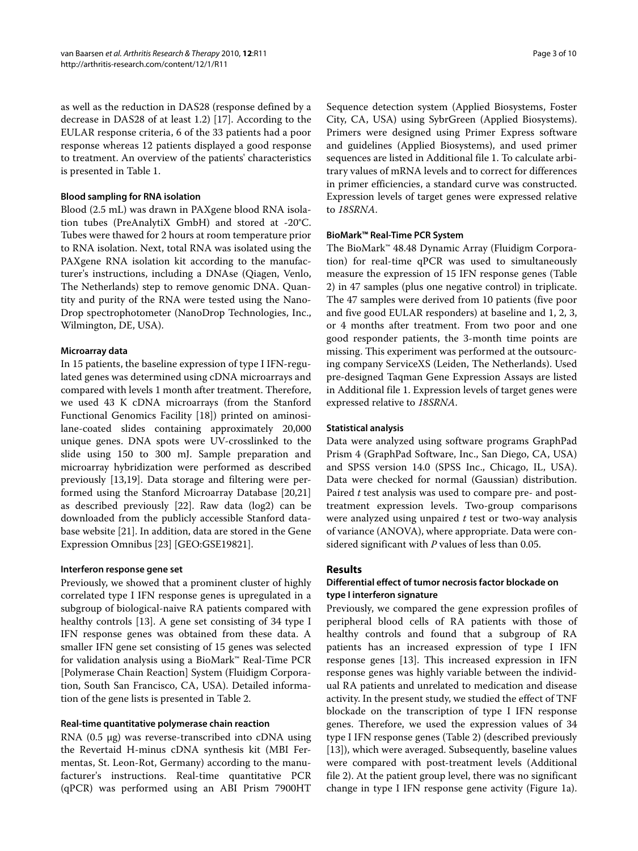as well as the reduction in DAS28 (response defined by a decrease in DAS28 of at least 1.2) [[17](#page-8-16)]. According to the EULAR response criteria, 6 of the 33 patients had a poor response whereas 12 patients displayed a good response to treatment. An overview of the patients' characteristics is presented in Table 1.

### **Blood sampling for RNA isolation**

Blood (2.5 mL) was drawn in PAXgene blood RNA isolation tubes (PreAnalytiX GmbH) and stored at -20°C. Tubes were thawed for 2 hours at room temperature prior to RNA isolation. Next, total RNA was isolated using the PAXgene RNA isolation kit according to the manufacturer's instructions, including a DNAse (Qiagen, Venlo, The Netherlands) step to remove genomic DNA. Quantity and purity of the RNA were tested using the Nano-Drop spectrophotometer (NanoDrop Technologies, Inc., Wilmington, DE, USA).

#### **Microarray data**

In 15 patients, the baseline expression of type I IFN-regulated genes was determined using cDNA microarrays and compared with levels 1 month after treatment. Therefore, we used 43 K cDNA microarrays (from the Stanford Functional Genomics Facility [\[18\]](#page-8-17)) printed on aminosilane-coated slides containing approximately 20,000 unique genes. DNA spots were UV-crosslinked to the slide using 150 to 300 mJ. Sample preparation and microarray hybridization were performed as described previously [\[13,](#page-8-12)[19\]](#page-8-18). Data storage and filtering were performed using the Stanford Microarray Database [\[20](#page-8-19),[21](#page-8-20)] as described previously [\[22\]](#page-8-21). Raw data (log2) can be downloaded from the publicly accessible Stanford database website [\[21\]](#page-8-20). In addition, data are stored in the Gene Expression Omnibus [\[23](#page-8-22)] [GEO:GSE19821].

#### **Interferon response gene set**

Previously, we showed that a prominent cluster of highly correlated type I IFN response genes is upregulated in a subgroup of biological-naive RA patients compared with healthy controls [[13\]](#page-8-12). A gene set consisting of 34 type I IFN response genes was obtained from these data. A smaller IFN gene set consisting of 15 genes was selected for validation analysis using a BioMark™ Real-Time PCR [Polymerase Chain Reaction] System (Fluidigm Corporation, South San Francisco, CA, USA). Detailed information of the gene lists is presented in Table 2.

#### **Real-time quantitative polymerase chain reaction**

RNA (0.5 μg) was reverse-transcribed into cDNA using the Revertaid H-minus cDNA synthesis kit (MBI Fermentas, St. Leon-Rot, Germany) according to the manufacturer's instructions. Real-time quantitative PCR (qPCR) was performed using an ABI Prism 7900HT

Sequence detection system (Applied Biosystems, Foster City, CA, USA) using SybrGreen (Applied Biosystems). Primers were designed using Primer Express software and guidelines (Applied Biosystems), and used primer sequences are listed in Additional file [1](#page-7-0). To calculate arbitrary values of mRNA levels and to correct for differences in primer efficiencies, a standard curve was constructed. Expression levels of target genes were expressed relative to *18SRNA*.

#### **BioMark™ Real-Time PCR System**

The BioMark™ 48.48 Dynamic Array (Fluidigm Corporation) for real-time qPCR was used to simultaneously measure the expression of 15 IFN response genes (Table 2) in 47 samples (plus one negative control) in triplicate. The 47 samples were derived from 10 patients (five poor and five good EULAR responders) at baseline and 1, 2, 3, or 4 months after treatment. From two poor and one good responder patients, the 3-month time points are missing. This experiment was performed at the outsourcing company ServiceXS (Leiden, The Netherlands). Used pre-designed Taqman Gene Expression Assays are listed in Additional file [1.](#page-7-0) Expression levels of target genes were expressed relative to *18SRNA*.

### **Statistical analysis**

Data were analyzed using software programs GraphPad Prism 4 (GraphPad Software, Inc., San Diego, CA, USA) and SPSS version 14.0 (SPSS Inc., Chicago, IL, USA). Data were checked for normal (Gaussian) distribution. Paired *t* test analysis was used to compare pre- and posttreatment expression levels. Two-group comparisons were analyzed using unpaired *t* test or two-way analysis of variance (ANOVA), where appropriate. Data were considered significant with *P* values of less than 0.05.

# **Results**

# **Differential effect of tumor necrosis factor blockade on type I interferon signature**

Previously, we compared the gene expression profiles of peripheral blood cells of RA patients with those of healthy controls and found that a subgroup of RA patients has an increased expression of type I IFN response genes [\[13\]](#page-8-12). This increased expression in IFN response genes was highly variable between the individual RA patients and unrelated to medication and disease activity. In the present study, we studied the effect of TNF blockade on the transcription of type I IFN response genes. Therefore, we used the expression values of 34 type I IFN response genes (Table 2) (described previously [[13\]](#page-8-12)), which were averaged. Subsequently, baseline values were compared with post-treatment levels (Additional file [2\)](#page-7-1). At the patient group level, there was no significant change in type I IFN response gene activity (Figure [1a](#page-4-0)).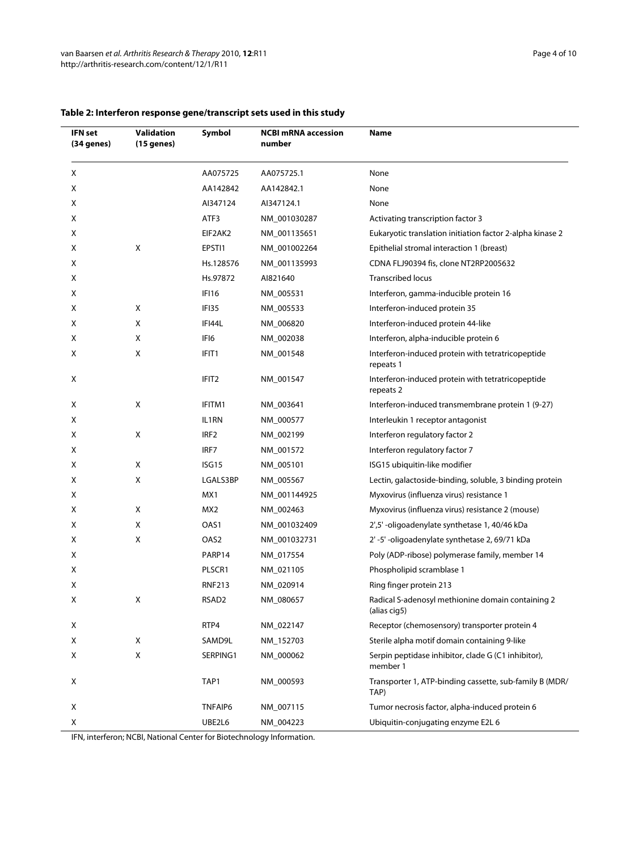| <b>IFN</b> set<br>(34 genes) | <b>Validation</b><br>(15 genes) | Symbol           | <b>NCBI mRNA accession</b><br>number | Name                                                              |
|------------------------------|---------------------------------|------------------|--------------------------------------|-------------------------------------------------------------------|
| X                            |                                 | AA075725         | AA075725.1                           | None                                                              |
| Х                            |                                 | AA142842         | AA142842.1                           | None                                                              |
| Χ                            |                                 | AI347124         | AI347124.1                           | None                                                              |
| х                            |                                 | ATF3             | NM_001030287                         | Activating transcription factor 3                                 |
| х                            |                                 | EIF2AK2          | NM 001135651                         | Eukaryotic translation initiation factor 2-alpha kinase 2         |
| Χ                            | Χ                               | EPSTI1           | NM_001002264                         | Epithelial stromal interaction 1 (breast)                         |
| Χ                            |                                 | Hs.128576        | NM_001135993                         | CDNA FLJ90394 fis, clone NT2RP2005632                             |
| Х                            |                                 | Hs.97872         | AI821640                             | <b>Transcribed locus</b>                                          |
| Χ                            |                                 | IFI16            | NM_005531                            | Interferon, gamma-inducible protein 16                            |
| Χ                            | Χ                               | IFI35            | NM_005533                            | Interferon-induced protein 35                                     |
| Χ                            | Χ                               | IFI44L           | NM_006820                            | Interferon-induced protein 44-like                                |
| Χ                            | X                               | IFI6             | NM_002038                            | Interferon, alpha-inducible protein 6                             |
| х                            | Χ                               | IFIT1            | NM_001548                            | Interferon-induced protein with tetratricopeptide<br>repeats 1    |
| Х                            |                                 | IFIT2            | NM_001547                            | Interferon-induced protein with tetratricopeptide<br>repeats 2    |
| Χ                            | Χ                               | IFITM1           | NM_003641                            | Interferon-induced transmembrane protein 1 (9-27)                 |
| Χ                            |                                 | IL1RN            | NM_000577                            | Interleukin 1 receptor antagonist                                 |
| Χ                            | Χ                               | IRF <sub>2</sub> | NM_002199                            | Interferon regulatory factor 2                                    |
| х                            |                                 | IRF7             | NM_001572                            | Interferon regulatory factor 7                                    |
| Χ                            | Χ                               | ISG15            | NM_005101                            | ISG15 ubiquitin-like modifier                                     |
| Χ                            | Χ                               | LGALS3BP         | NM_005567                            | Lectin, galactoside-binding, soluble, 3 binding protein           |
| х                            |                                 | MX1              | NM_001144925                         | Myxovirus (influenza virus) resistance 1                          |
| Х                            | Х                               | MX2              | NM_002463                            | Myxovirus (influenza virus) resistance 2 (mouse)                  |
| Χ                            | X                               | OAS1             | NM_001032409                         | 2',5'-oligoadenylate synthetase 1, 40/46 kDa                      |
| Χ                            | Χ                               | OAS2             | NM_001032731                         | 2'-5'-oligoadenylate synthetase 2, 69/71 kDa                      |
| Х                            |                                 | PARP14           | NM_017554                            | Poly (ADP-ribose) polymerase family, member 14                    |
| Χ                            |                                 | PLSCR1           | NM_021105                            | Phospholipid scramblase 1                                         |
| X                            |                                 | RNF213           | NM_020914                            | Ring finger protein 213                                           |
| х                            | X                               | RSAD2            | NM_080657                            | Radical S-adenosyl methionine domain containing 2<br>(alias cig5) |
| Х                            |                                 | RTP4             | NM_022147                            | Receptor (chemosensory) transporter protein 4                     |
| X                            | Χ                               | SAMD9L           | NM_152703                            | Sterile alpha motif domain containing 9-like                      |
| X                            | X                               | SERPING1         | NM_000062                            | Serpin peptidase inhibitor, clade G (C1 inhibitor),<br>member 1   |
| X                            |                                 | TAP1             | NM_000593                            | Transporter 1, ATP-binding cassette, sub-family B (MDR/<br>TAP)   |
| X                            |                                 | TNFAIP6          | NM_007115                            | Tumor necrosis factor, alpha-induced protein 6                    |
| х                            |                                 | UBE2L6           | NM_004223                            | Ubiquitin-conjugating enzyme E2L 6                                |

# **Table 2: Interferon response gene/transcript sets used in this study**

IFN, interferon; NCBI, National Center for Biotechnology Information.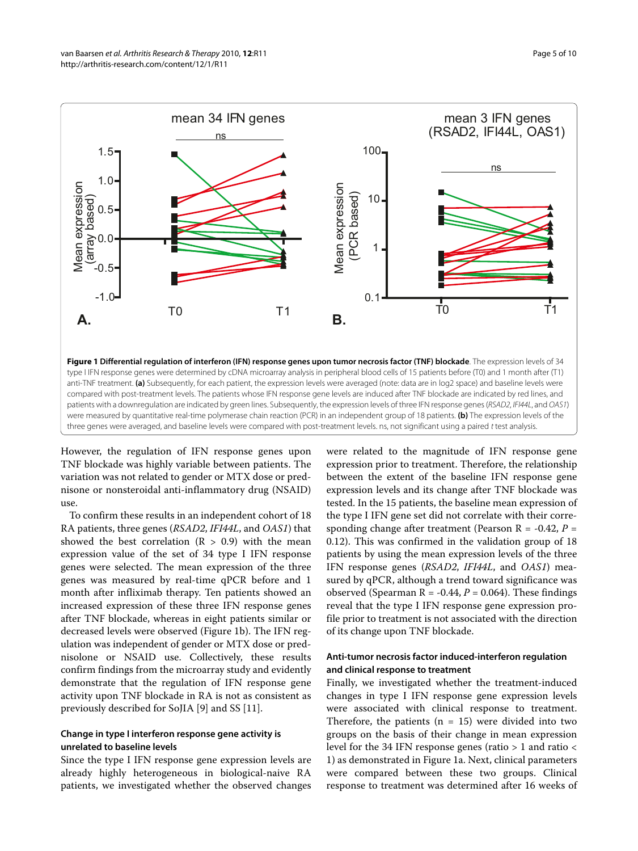<span id="page-4-0"></span>

were measured by quantitative real-time polymerase chain reaction (PCR) in an independent group of 18 patients. **(b)** The expression levels of the

However, the regulation of IFN response genes upon TNF blockade was highly variable between patients. The variation was not related to gender or MTX dose or prednisone or nonsteroidal anti-inflammatory drug (NSAID) three genes were averaged, and baseline levels were compared with post-treatment levels. ns, not significant using a paired t test analysis.

To confirm these results in an independent cohort of 18 RA patients, three genes (*RSAD2*, *IFI44L*, and *OAS1*) that showed the best correlation  $(R > 0.9)$  with the mean expression value of the set of 34 type I IFN response genes were selected. The mean expression of the three genes was measured by real-time qPCR before and 1 month after infliximab therapy. Ten patients showed an increased expression of these three IFN response genes after TNF blockade, whereas in eight patients similar or decreased levels were observed (Figure [1b](#page-4-0)). The IFN regulation was independent of gender or MTX dose or prednisolone or NSAID use. Collectively, these results confirm findings from the microarray study and evidently demonstrate that the regulation of IFN response gene activity upon TNF blockade in RA is not as consistent as previously described for SoJIA [[9\]](#page-8-8) and SS [[11\]](#page-8-10).

use.

# **Change in type I interferon response gene activity is unrelated to baseline levels**

Since the type I IFN response gene expression levels are already highly heterogeneous in biological-naive RA patients, we investigated whether the observed changes

were related to the magnitude of IFN response gene expression prior to treatment. Therefore, the relationship between the extent of the baseline IFN response gene expression levels and its change after TNF blockade was tested. In the 15 patients, the baseline mean expression of the type I IFN gene set did not correlate with their corresponding change after treatment (Pearson R = -0.42, *P* = 0.12). This was confirmed in the validation group of 18 patients by using the mean expression levels of the three IFN response genes (*RSAD2*, *IFI44L*, and *OAS1*) measured by qPCR, although a trend toward significance was observed (Spearman  $R = -0.44$ ,  $P = 0.064$ ). These findings reveal that the type I IFN response gene expression profile prior to treatment is not associated with the direction of its change upon TNF blockade.

# **Anti-tumor necrosis factor induced-interferon regulation and clinical response to treatment**

Finally, we investigated whether the treatment-induced changes in type I IFN response gene expression levels were associated with clinical response to treatment. Therefore, the patients  $(n = 15)$  were divided into two groups on the basis of their change in mean expression level for the 34 IFN response genes (ratio > 1 and ratio < 1) as demonstrated in Figure [1a](#page-4-0). Next, clinical parameters were compared between these two groups. Clinical response to treatment was determined after 16 weeks of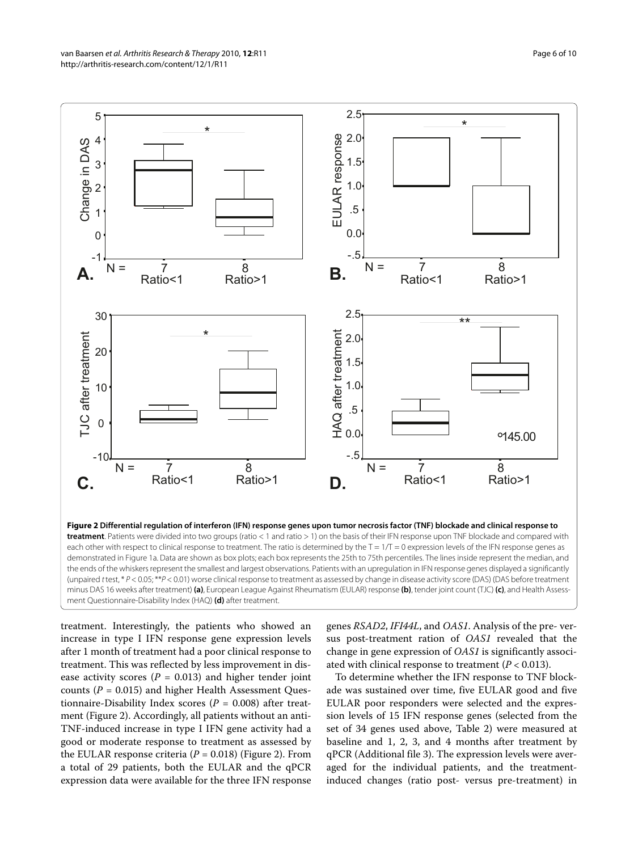<span id="page-5-0"></span>

each other with respect to clinical response to treatment. The ratio is determined by the  $T = 1/T = 0$  expression levels of the IFN response genes as demonstrated in Figure 1a. Data are shown as box plots; each box represents the 25th to 75th percentiles. The lines inside represent the median, and the ends of the whiskers represent the smallest and largest observations. Patients with an upregulation in IFN response genes displayed a significantly (unpaired t test, \* P < 0.05; \*\*P < 0.01) worse clinical response to treatment as assessed by change in disease activity score (DAS) (DAS before treatment minus DAS 16 weeks after treatment) **(a)**, European League Against Rheumatism (EULAR) response **(b)**, tender joint count (TJC) **(c)**, and Health Assessment Questionnaire-Disability Index (HAQ) **(d)** after treatment.

treatment. Interestingly, the patients who showed an increase in type I IFN response gene expression levels after 1 month of treatment had a poor clinical response to treatment. This was reflected by less improvement in disease activity scores  $(P = 0.013)$  and higher tender joint counts (*P* = 0.015) and higher Health Assessment Questionnaire-Disability Index scores (*P* = 0.008) after treatment (Figure [2\)](#page-5-0). Accordingly, all patients without an anti-TNF-induced increase in type I IFN gene activity had a good or moderate response to treatment as assessed by the EULAR response criteria ( $P = 0.018$ ) (Figure [2\)](#page-5-0). From a total of 29 patients, both the EULAR and the qPCR expression data were available for the three IFN response

genes *RSAD2*, *IFI44L*, and *OAS1*. Analysis of the pre- versus post-treatment ration of *OAS1* revealed that the change in gene expression of *OAS1* is significantly associated with clinical response to treatment (*P* < 0.013).

To determine whether the IFN response to TNF blockade was sustained over time, five EULAR good and five EULAR poor responders were selected and the expression levels of 15 IFN response genes (selected from the set of 34 genes used above, Table 2) were measured at baseline and 1, 2, 3, and 4 months after treatment by qPCR (Additional file [3\)](#page-7-2). The expression levels were averaged for the individual patients, and the treatmentinduced changes (ratio post- versus pre-treatment) in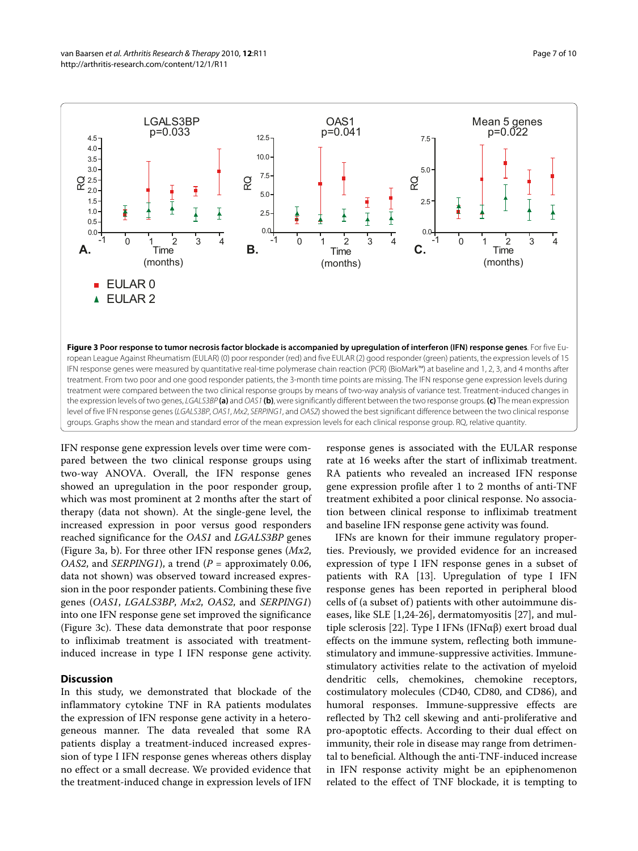<span id="page-6-0"></span>

treatment. From two poor and one good responder patients, the 3-month time points are missing. The IFN response gene expression levels during treatment were compared between the two clinical response groups by means of two-way analysis of variance test. Treatment-induced changes in the expression levels of two genes, LGALS3BP **(a)** and OAS1 **(b)**, were significantly different between the two response groups. **(c)** The mean expression level of five IFN response genes (LGALS3BP, OAS1, Mx2, SERPING1, and OAS2) showed the best significant difference between the two clinical response groups. Graphs show the mean and standard error of the mean expression levels for each clinical response group. RQ, relative quantity.

IFN response gene expression levels over time were compared between the two clinical response groups using two-way ANOVA. Overall, the IFN response genes showed an upregulation in the poor responder group, which was most prominent at 2 months after the start of therapy (data not shown). At the single-gene level, the increased expression in poor versus good responders reached significance for the *OAS1* and *LGALS3BP* genes (Figure [3a](#page-6-0), b). For three other IFN response genes (*Mx2*, *OAS2*, and *SERPING1*), a trend (*P* = approximately 0.06, data not shown) was observed toward increased expression in the poor responder patients. Combining these five genes (*OAS1*, *LGALS3BP*, *Mx2*, *OAS2*, and *SERPING1*) into one IFN response gene set improved the significance (Figure [3](#page-6-0)c). These data demonstrate that poor response to infliximab treatment is associated with treatmentinduced increase in type I IFN response gene activity.

#### **Discussion**

In this study, we demonstrated that blockade of the inflammatory cytokine TNF in RA patients modulates the expression of IFN response gene activity in a heterogeneous manner. The data revealed that some RA patients display a treatment-induced increased expression of type I IFN response genes whereas others display no effect or a small decrease. We provided evidence that the treatment-induced change in expression levels of IFN response genes is associated with the EULAR response rate at 16 weeks after the start of infliximab treatment. RA patients who revealed an increased IFN response gene expression profile after 1 to 2 months of anti-TNF treatment exhibited a poor clinical response. No association between clinical response to infliximab treatment and baseline IFN response gene activity was found.

IFNs are known for their immune regulatory properties. Previously, we provided evidence for an increased expression of type I IFN response genes in a subset of patients with RA [[13](#page-8-12)]. Upregulation of type I IFN response genes has been reported in peripheral blood cells of (a subset of) patients with other autoimmune diseases, like SLE [\[1](#page-8-0)[,24](#page-8-23)-[26\]](#page-8-24), dermatomyositis [\[27](#page-9-0)], and multiple sclerosis [[22\]](#page-8-21). Type I IFNs (IFNαβ) exert broad dual effects on the immune system, reflecting both immunestimulatory and immune-suppressive activities. Immunestimulatory activities relate to the activation of myeloid dendritic cells, chemokines, chemokine receptors, costimulatory molecules (CD40, CD80, and CD86), and humoral responses. Immune-suppressive effects are reflected by Th2 cell skewing and anti-proliferative and pro-apoptotic effects. According to their dual effect on immunity, their role in disease may range from detrimental to beneficial. Although the anti-TNF-induced increase in IFN response activity might be an epiphenomenon related to the effect of TNF blockade, it is tempting to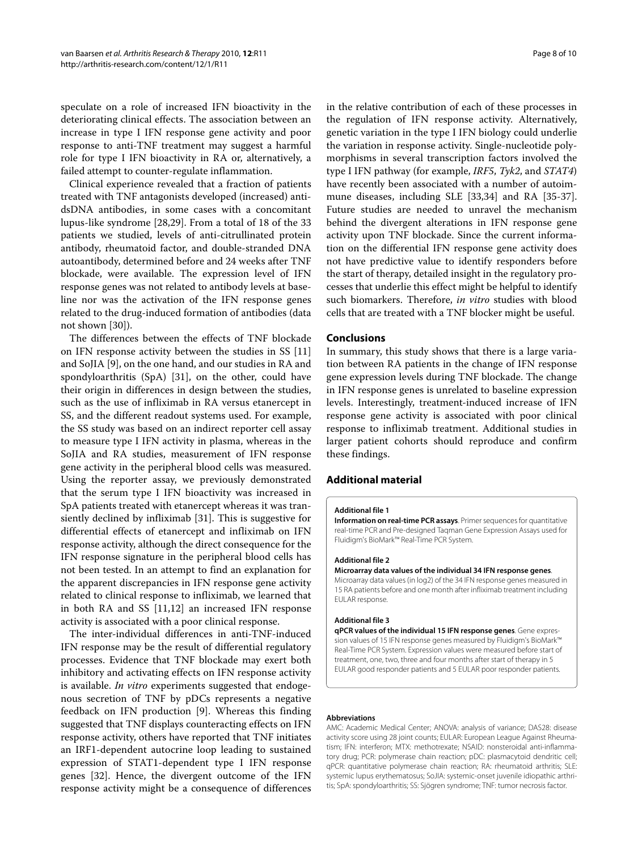speculate on a role of increased IFN bioactivity in the deteriorating clinical effects. The association between an increase in type I IFN response gene activity and poor response to anti-TNF treatment may suggest a harmful role for type I IFN bioactivity in RA or, alternatively, a failed attempt to counter-regulate inflammation.

Clinical experience revealed that a fraction of patients treated with TNF antagonists developed (increased) antidsDNA antibodies, in some cases with a concomitant lupus-like syndrome [[28,](#page-9-1)[29\]](#page-9-2). From a total of 18 of the 33 patients we studied, levels of anti-citrullinated protein antibody, rheumatoid factor, and double-stranded DNA autoantibody, determined before and 24 weeks after TNF blockade, were available. The expression level of IFN response genes was not related to antibody levels at baseline nor was the activation of the IFN response genes related to the drug-induced formation of antibodies (data not shown [\[30\]](#page-9-3)).

The differences between the effects of TNF blockade on IFN response activity between the studies in SS [[11](#page-8-10)] and SoJIA [\[9\]](#page-8-8), on the one hand, and our studies in RA and spondyloarthritis (SpA) [\[31\]](#page-9-4), on the other, could have their origin in differences in design between the studies, such as the use of infliximab in RA versus etanercept in SS, and the different readout systems used. For example, the SS study was based on an indirect reporter cell assay to measure type I IFN activity in plasma, whereas in the SoIIA and RA studies, measurement of IFN response gene activity in the peripheral blood cells was measured. Using the reporter assay, we previously demonstrated that the serum type I IFN bioactivity was increased in SpA patients treated with etanercept whereas it was transiently declined by infliximab [[31\]](#page-9-4). This is suggestive for differential effects of etanercept and infliximab on IFN response activity, although the direct consequence for the IFN response signature in the peripheral blood cells has not been tested. In an attempt to find an explanation for the apparent discrepancies in IFN response gene activity related to clinical response to infliximab, we learned that in both RA and SS [[11,](#page-8-10)[12\]](#page-8-11) an increased IFN response activity is associated with a poor clinical response.

The inter-individual differences in anti-TNF-induced IFN response may be the result of differential regulatory processes. Evidence that TNF blockade may exert both inhibitory and activating effects on IFN response activity is available. *In vitro* experiments suggested that endogenous secretion of TNF by pDCs represents a negative feedback on IFN production [\[9](#page-8-8)]. Whereas this finding suggested that TNF displays counteracting effects on IFN response activity, others have reported that TNF initiates an IRF1-dependent autocrine loop leading to sustained expression of STAT1-dependent type I IFN response genes [[32\]](#page-9-5). Hence, the divergent outcome of the IFN response activity might be a consequence of differences in the relative contribution of each of these processes in the regulation of IFN response activity. Alternatively, genetic variation in the type I IFN biology could underlie the variation in response activity. Single-nucleotide polymorphisms in several transcription factors involved the type I IFN pathway (for example, *IRF5*, *Tyk2*, and *STAT4*) have recently been associated with a number of autoimmune diseases, including SLE [\[33](#page-9-6),[34](#page-9-7)] and RA [[35](#page-9-8)[-37](#page-9-9)]. Future studies are needed to unravel the mechanism behind the divergent alterations in IFN response gene activity upon TNF blockade. Since the current information on the differential IFN response gene activity does not have predictive value to identify responders before the start of therapy, detailed insight in the regulatory processes that underlie this effect might be helpful to identify such biomarkers. Therefore, *in vitro* studies with blood cells that are treated with a TNF blocker might be useful.

#### **Conclusions**

In summary, this study shows that there is a large variation between RA patients in the change of IFN response gene expression levels during TNF blockade. The change in IFN response genes is unrelated to baseline expression levels. Interestingly, treatment-induced increase of IFN response gene activity is associated with poor clinical response to infliximab treatment. Additional studies in larger patient cohorts should reproduce and confirm these findings.

# **Additional material**

#### <span id="page-7-0"></span>**[Additional file 1](http://www.biomedcentral.com/content/supplementary/ar2912-S1.xls)**

**Information on real-time PCR assays**. Primer sequences for quantitative real-time PCR and Pre-designed Taqman Gene Expression Assays used for Fluidigm's BioMark™ Real-Time PCR System.

#### <span id="page-7-1"></span>**[Additional file 2](http://www.biomedcentral.com/content/supplementary/ar2912-S2.xls)**

#### **Microarray data values of the individual 34 IFN response genes**.

Microarray data values (in log2) of the 34 IFN response genes measured in 15 RA patients before and one month after infliximab treatment including EULAR response.

#### <span id="page-7-2"></span>**[Additional file 3](http://www.biomedcentral.com/content/supplementary/ar2912-S3.xls)**

**qPCR values of the individual 15 IFN response genes**. Gene expression values of 15 IFN response genes measured by Fluidigm's BioMark™ Real-Time PCR System. Expression values were measured before start of treatment, one, two, three and four months after start of therapy in 5 EULAR good responder patients and 5 EULAR poor responder patients.

#### **Abbreviations**

AMC: Academic Medical Center; ANOVA: analysis of variance; DAS28: disease activity score using 28 joint counts; EULAR: European League Against Rheumatism; IFN: interferon; MTX: methotrexate; NSAID: nonsteroidal anti-inflammatory drug; PCR: polymerase chain reaction; pDC: plasmacytoid dendritic cell; qPCR: quantitative polymerase chain reaction; RA: rheumatoid arthritis; SLE: systemic lupus erythematosus; SoJIA: systemic-onset juvenile idiopathic arthritis; SpA: spondyloarthritis; SS: Sjögren syndrome; TNF: tumor necrosis factor.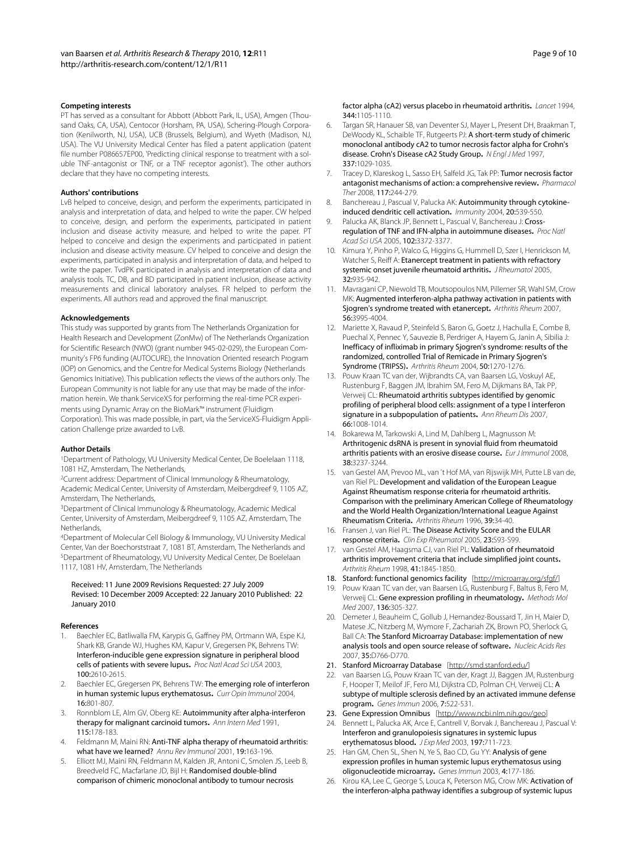#### **Competing interests**

PT has served as a consultant for Abbott (Abbott Park, IL, USA), Amgen (Thousand Oaks, CA, USA), Centocor (Horsham, PA, USA), Schering-Plough Corporation (Kenilworth, NJ, USA), UCB (Brussels, Belgium), and Wyeth (Madison, NJ, USA). The VU University Medical Center has filed a patent application (patent file number P086657EP00, 'Predicting clinical response to treatment with a soluble TNF-antagonist or TNF, or a TNF receptor agonist'). The other authors declare that they have no competing interests.

#### **Authors' contributions**

LvB helped to conceive, design, and perform the experiments, participated in analysis and interpretation of data, and helped to write the paper. CW helped to conceive, design, and perform the experiments, participated in patient inclusion and disease activity measure, and helped to write the paper. PT helped to conceive and design the experiments and participated in patient inclusion and disease activity measure. CV helped to conceive and design the experiments, participated in analysis and interpretation of data, and helped to write the paper. TvdPK participated in analysis and interpretation of data and analysis tools. TC, DB, and BD participated in patient inclusion, disease activity measurements and clinical laboratory analyses. FR helped to perform the experiments. All authors read and approved the final manuscript.

#### **Acknowledgements**

This study was supported by grants from The Netherlands Organization for Health Research and Development (ZonMw) of The Netherlands Organization for Scientific Research (NWO) (grant number 945-02-029), the European Community's FP6 funding (AUTOCURE), the Innovation Oriented research Program (IOP) on Genomics, and the Centre for Medical Systems Biology (Netherlands Genomics Initiative). This publication reflects the views of the authors only. The European Community is not liable for any use that may be made of the information herein. We thank ServiceXS for performing the real-time PCR experiments using Dynamic Array on the BioMark™ instrument (Fluidigm Corporation). This was made possible, in part, via the ServiceXS-Fluidigm Application Challenge prize awarded to LvB.

#### **Author Details**

1Department of Pathology, VU University Medical Center, De Boelelaan 1118, 1081 HZ, Amsterdam, The Netherlands,

2Current address: Department of Clinical Immunology & Rheumatology, Academic Medical Center, University of Amsterdam, Meibergdreef 9, 1105 AZ, Amsterdam, The Netherlands,

3Department of Clinical Immunology & Rheumatology, Academic Medical Center, University of Amsterdam, Meibergdreef 9, 1105 AZ, Amsterdam, The Netherlands,

4Department of Molecular Cell Biology & Immunology, VU University Medical Center, Van der Boechorststraat 7, 1081 BT, Amsterdam, The Netherlands and 5Department of Rheumatology, VU University Medical Center, De Boelelaan 1117, 1081 HV, Amsterdam, The Netherlands

#### Received: 11 June 2009 Revisions Requested: 27 July 2009 Revised: 10 December 2009 Accepted: 22 January 2010 Published: 22 January 2010

#### **References**

- <span id="page-8-0"></span>Baechler EC, Batliwalla FM, Karypis G, Gaffney PM, Ortmann WA, Espe KJ, Shark KB, Grande WJ, Hughes KM, Kapur V, Gregersen PK, Behrens TW: [Interferon-inducible gene expression signature in peripheral blood](http://www.ncbi.nlm.nih.gov/entrez/query.fcgi?cmd=Retrieve&db=PubMed&dopt=Abstract&list_uids=12604793)  [cells of patients with severe lupus](http://www.ncbi.nlm.nih.gov/entrez/query.fcgi?cmd=Retrieve&db=PubMed&dopt=Abstract&list_uids=12604793)**.** Proc Natl Acad Sci USA 2003, 100:2610-2615.
- <span id="page-8-1"></span>2. Baechler EC, Gregersen PK, Behrens TW: The emerging role of interferon [in human systemic lupus erythematosus](http://www.ncbi.nlm.nih.gov/entrez/query.fcgi?cmd=Retrieve&db=PubMed&dopt=Abstract&list_uids=15511676)**.** Curr Opin Immunol 2004, 16:801-807.
- <span id="page-8-2"></span>Ronnblom LE, Alm GV, Oberg KE: Autoimmunity after alpha-interferon [therapy for malignant carcinoid tumors](http://www.ncbi.nlm.nih.gov/entrez/query.fcgi?cmd=Retrieve&db=PubMed&dopt=Abstract&list_uids=2058872)**.** Ann Intern Med 1991, 115:178-183.
- <span id="page-8-3"></span>4. Feldmann M, Maini RN: [Anti-TNF alpha therapy of rheumatoid arthritis:](http://www.ncbi.nlm.nih.gov/entrez/query.fcgi?cmd=Retrieve&db=PubMed&dopt=Abstract&list_uids=11244034)  [what have we learned?](http://www.ncbi.nlm.nih.gov/entrez/query.fcgi?cmd=Retrieve&db=PubMed&dopt=Abstract&list_uids=11244034) Annu Rev Immunol 2001, 19:163-196.
- <span id="page-8-4"></span>5. Elliott MJ, Maini RN, Feldmann M, Kalden JR, Antoni C, Smolen JS, Leeb B, Breedveld FC, Macfarlane JD, Bijl H: [Randomised double-blind](http://www.ncbi.nlm.nih.gov/entrez/query.fcgi?cmd=Retrieve&db=PubMed&dopt=Abstract&list_uids=7934491)  [comparison of chimeric monoclonal antibody to tumour necrosis](http://www.ncbi.nlm.nih.gov/entrez/query.fcgi?cmd=Retrieve&db=PubMed&dopt=Abstract&list_uids=7934491)

[factor alpha \(cA2\) versus placebo in rheumatoid arthritis](http://www.ncbi.nlm.nih.gov/entrez/query.fcgi?cmd=Retrieve&db=PubMed&dopt=Abstract&list_uids=7934491)**.** Lancet 1994, 344:1105-1110.

- <span id="page-8-5"></span>6. Targan SR, Hanauer SB, van Deventer SJ, Mayer L, Present DH, Braakman T, DeWoody KL, Schaible TF, Rutgeerts PJ: [A short-term study of chimeric](http://www.ncbi.nlm.nih.gov/entrez/query.fcgi?cmd=Retrieve&db=PubMed&dopt=Abstract&list_uids=9321530)  [monoclonal antibody cA2 to tumor necrosis factor alpha for Crohn's](http://www.ncbi.nlm.nih.gov/entrez/query.fcgi?cmd=Retrieve&db=PubMed&dopt=Abstract&list_uids=9321530)  [disease. Crohn's Disease cA2 Study Group](http://www.ncbi.nlm.nih.gov/entrez/query.fcgi?cmd=Retrieve&db=PubMed&dopt=Abstract&list_uids=9321530)**.** N Engl J Med 1997, 337:1029-1035.
- <span id="page-8-6"></span>7. Tracey D, Klareskog L, Sasso EH, Salfeld JG, Tak PP: Tumor necrosis factor [antagonist mechanisms of action: a comprehensive review](http://www.ncbi.nlm.nih.gov/entrez/query.fcgi?cmd=Retrieve&db=PubMed&dopt=Abstract&list_uids=18155297)**.** Pharmacol Ther 2008, 117:244-279.
- <span id="page-8-7"></span>8. Banchereau J, Pascual V, Palucka AK: [Autoimmunity through cytokine](http://www.ncbi.nlm.nih.gov/entrez/query.fcgi?cmd=Retrieve&db=PubMed&dopt=Abstract&list_uids=15142523)[induced dendritic cell activation](http://www.ncbi.nlm.nih.gov/entrez/query.fcgi?cmd=Retrieve&db=PubMed&dopt=Abstract&list_uids=15142523)**.** Immunity 2004, 20:539-550.
- <span id="page-8-8"></span>9. Palucka AK, Blanck JP, Bennett L, Pascual V, Banchereau J: [Cross](http://www.ncbi.nlm.nih.gov/entrez/query.fcgi?cmd=Retrieve&db=PubMed&dopt=Abstract&list_uids=15728381)[regulation of TNF and IFN-alpha in autoimmune diseases](http://www.ncbi.nlm.nih.gov/entrez/query.fcgi?cmd=Retrieve&db=PubMed&dopt=Abstract&list_uids=15728381)**.** Proc Natl Acad Sci USA 2005, 102:3372-3377.
- <span id="page-8-9"></span>10. Kimura Y, Pinho P, Walco G, Higgins G, Hummell D, Szer I, Henrickson M, Watcher S, Reiff A: [Etanercept treatment in patients with refractory](http://www.ncbi.nlm.nih.gov/entrez/query.fcgi?cmd=Retrieve&db=PubMed&dopt=Abstract&list_uids=15868633)  [systemic onset juvenile rheumatoid arthritis](http://www.ncbi.nlm.nih.gov/entrez/query.fcgi?cmd=Retrieve&db=PubMed&dopt=Abstract&list_uids=15868633)**.** J Rheumatol 2005, 32:935-942.
- <span id="page-8-10"></span>11. Mavragani CP, Niewold TB, Moutsopoulos NM, Pillemer SR, Wahl SM, Crow MK: [Augmented interferon-alpha pathway activation in patients with](http://www.ncbi.nlm.nih.gov/entrez/query.fcgi?cmd=Retrieve&db=PubMed&dopt=Abstract&list_uids=18050196)  [Sjogren's syndrome treated with etanercept](http://www.ncbi.nlm.nih.gov/entrez/query.fcgi?cmd=Retrieve&db=PubMed&dopt=Abstract&list_uids=18050196)**.** Arthritis Rheum 2007, 56:3995-4004.
- <span id="page-8-11"></span>12. Mariette X, Ravaud P, Steinfeld S, Baron G, Goetz J, Hachulla E, Combe B, Puechal X, Pennec Y, Sauvezie B, Perdriger A, Hayem G, Janin A, Sibilia J: [Inefficacy of infliximab in primary Sjogren's syndrome: results of the](http://www.ncbi.nlm.nih.gov/entrez/query.fcgi?cmd=Retrieve&db=PubMed&dopt=Abstract&list_uids=15077311)  randomized, controlled Trial of Remicade in Primary Sjogren's [Syndrome \(TRIPSS\)](http://www.ncbi.nlm.nih.gov/entrez/query.fcgi?cmd=Retrieve&db=PubMed&dopt=Abstract&list_uids=15077311)**.** Arthritis Rheum 2004, 50:1270-1276.
- <span id="page-8-12"></span>13. Pouw Kraan TC van der, Wijbrandts CA, van Baarsen LG, Voskuyl AE, Rustenburg F, Baggen JM, Ibrahim SM, Fero M, Dijkmans BA, Tak PP, Verweij CL: [Rheumatoid arthritis subtypes identified by genomic](http://www.ncbi.nlm.nih.gov/entrez/query.fcgi?cmd=Retrieve&db=PubMed&dopt=Abstract&list_uids=17223656)  [profiling of peripheral blood cells: assignment of a type I interferon](http://www.ncbi.nlm.nih.gov/entrez/query.fcgi?cmd=Retrieve&db=PubMed&dopt=Abstract&list_uids=17223656)  [signature in a subpopulation of patients](http://www.ncbi.nlm.nih.gov/entrez/query.fcgi?cmd=Retrieve&db=PubMed&dopt=Abstract&list_uids=17223656)**.** Ann Rheum Dis 2007, 66:1008-1014.
- <span id="page-8-13"></span>14. Bokarewa M, Tarkowski A, Lind M, Dahlberg L, Magnusson M: [Arthritogenic dsRNA is present in synovial fluid from rheumatoid](http://www.ncbi.nlm.nih.gov/entrez/query.fcgi?cmd=Retrieve&db=PubMed&dopt=Abstract&list_uids=18991285)  [arthritis patients with an erosive disease course](http://www.ncbi.nlm.nih.gov/entrez/query.fcgi?cmd=Retrieve&db=PubMed&dopt=Abstract&list_uids=18991285)**.** Eur J Immunol 2008, 38:3237-3244.
- <span id="page-8-14"></span>15. van Gestel AM, Prevoo ML, van 't Hof MA, van Rijswijk MH, Putte LB van de, van Riel PL: [Development and validation of the European League](http://www.ncbi.nlm.nih.gov/entrez/query.fcgi?cmd=Retrieve&db=PubMed&dopt=Abstract&list_uids=8546736)  Against Rheumatism response criteria for rheumatoid arthritis. [Comparison with the preliminary American College of Rheumatology](http://www.ncbi.nlm.nih.gov/entrez/query.fcgi?cmd=Retrieve&db=PubMed&dopt=Abstract&list_uids=8546736)  and the World Health Organization/International League Against [Rheumatism Criteria](http://www.ncbi.nlm.nih.gov/entrez/query.fcgi?cmd=Retrieve&db=PubMed&dopt=Abstract&list_uids=8546736)**.** Arthritis Rheum 1996, 39:34-40.
- <span id="page-8-15"></span>16. Fransen J, van Riel PL: The Disease Activity Score and the EULAR [response criteria](http://www.ncbi.nlm.nih.gov/entrez/query.fcgi?cmd=Retrieve&db=PubMed&dopt=Abstract&list_uids=16273792)**.** Clin Exp Rheumatol 2005, 23:S93-S99.
- <span id="page-8-16"></span>17. van Gestel AM, Haagsma CJ, van Riel PL: Validation of rheumatoid [arthritis improvement criteria that include simplified joint counts](http://www.ncbi.nlm.nih.gov/entrez/query.fcgi?cmd=Retrieve&db=PubMed&dopt=Abstract&list_uids=9778226)**.** Arthritis Rheum 1998, 41:1845-1850.
- <span id="page-8-17"></span>18. Stanford: functional genomics facility [\[http://microarray.org/sfgf/\]](http://microarray.org/sfgf/)
- <span id="page-8-18"></span>19. Pouw Kraan TC van der, van Baarsen LG, Rustenburg F, Baltus B, Fero M, Verweij CL: [Gene expression profiling in rheumatology](http://www.ncbi.nlm.nih.gov/entrez/query.fcgi?cmd=Retrieve&db=PubMed&dopt=Abstract&list_uids=17983157)**.** Methods Mol Med 2007, 136:305-327.
- <span id="page-8-19"></span>20. Demeter J, Beauheim C, Gollub J, Hernandez-Boussard T, Jin H, Maier D, Matese JC, Nitzberg M, Wymore F, Zachariah ZK, Brown PO, Sherlock G, Ball CA: [The Stanford Microarray Database: implementation of new](http://www.ncbi.nlm.nih.gov/entrez/query.fcgi?cmd=Retrieve&db=PubMed&dopt=Abstract&list_uids=17182626)  [analysis tools and open source release of software](http://www.ncbi.nlm.nih.gov/entrez/query.fcgi?cmd=Retrieve&db=PubMed&dopt=Abstract&list_uids=17182626)**.** Nucleic Acids Res 2007, 35:D766-D770.
- <span id="page-8-20"></span>21. Stanford Microarray Database [\[http://smd.stanford.edu/\]](http://smd.stanford.edu/)
- <span id="page-8-21"></span>22. van Baarsen LG, Pouw Kraan TC van der, Kragt JJ, Baggen JM, Rustenburg F, Hooper T, Meilof JF, Fero MJ, Dijkstra CD, Polman CH, Verweij CL: A [subtype of multiple sclerosis defined by an activated immune defense](http://www.ncbi.nlm.nih.gov/entrez/query.fcgi?cmd=Retrieve&db=PubMed&dopt=Abstract&list_uids=16837931)  [program](http://www.ncbi.nlm.nih.gov/entrez/query.fcgi?cmd=Retrieve&db=PubMed&dopt=Abstract&list_uids=16837931)**.** Genes Immun 2006, 7:522-531.
- <span id="page-8-22"></span>23. Gene Expression Omnibus [<http://www.ncbi.nlm.nih.gov/geo>]
- <span id="page-8-23"></span>24. Bennett L, Palucka AK, Arce E, Cantrell V, Borvak J, Banchereau J, Pascual V: [Interferon and granulopoiesis signatures in systemic lupus](http://www.ncbi.nlm.nih.gov/entrez/query.fcgi?cmd=Retrieve&db=PubMed&dopt=Abstract&list_uids=12642603)  [erythematosus blood](http://www.ncbi.nlm.nih.gov/entrez/query.fcgi?cmd=Retrieve&db=PubMed&dopt=Abstract&list_uids=12642603)**.** J Exp Med 2003, 197:711-723.
- 25. Han GM, Chen SL, Shen N, Ye S, Bao CD, Gu YY: Analysis of gene [expression profiles in human systemic lupus erythematosus using](http://www.ncbi.nlm.nih.gov/entrez/query.fcgi?cmd=Retrieve&db=PubMed&dopt=Abstract&list_uids=12700592)  [oligonucleotide microarray](http://www.ncbi.nlm.nih.gov/entrez/query.fcgi?cmd=Retrieve&db=PubMed&dopt=Abstract&list_uids=12700592)**.** Genes Immun 2003, 4:177-186.
- <span id="page-8-24"></span>26. Kirou KA, Lee C, George S, Louca K, Peterson MG, Crow MK: Activation of [the interferon-alpha pathway identifies a subgroup of systemic lupus](http://www.ncbi.nlm.nih.gov/entrez/query.fcgi?cmd=Retrieve&db=PubMed&dopt=Abstract&list_uids=15880830)